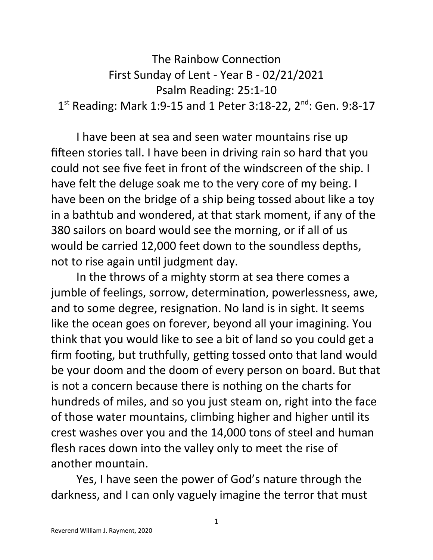```
The Rainbow Connection
          First Sunday of Lent - Year B - 02/21/2021
                     Psalm Reading: 25:1-10
1<sup>st</sup> Reading: Mark 1:9-15 and 1 Peter 3:18-22, 2<sup>nd</sup>: Gen. 9:8-17
```
I have been at sea and seen water mountains rise up fifteen stories tall. I have been in driving rain so hard that you could not see five feet in front of the windscreen of the ship. I have felt the deluge soak me to the very core of my being. I have been on the bridge of a ship being tossed about like a toy in a bathtub and wondered, at that stark moment, if any of the 380 sailors on board would see the morning, or if all of us would be carried 12,000 feet down to the soundless depths, not to rise again until judgment day.

In the throws of a mighty storm at sea there comes a jumble of feelings, sorrow, determination, powerlessness, awe, and to some degree, resignation. No land is in sight. It seems like the ocean goes on forever, beyond all your imagining. You think that you would like to see a bit of land so you could get a firm footing, but truthfully, getting tossed onto that land would be your doom and the doom of every person on board. But that is not a concern because there is nothing on the charts for hundreds of miles, and so you just steam on, right into the face of those water mountains, climbing higher and higher until its crest washes over you and the 14,000 tons of steel and human flesh races down into the valley only to meet the rise of another mountain.

Yes, I have seen the power of God's nature through the darkness, and I can only vaguely imagine the terror that must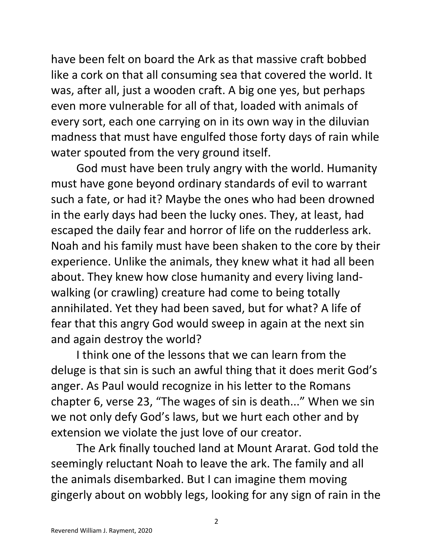have been felt on board the Ark as that massive craft bobbed like a cork on that all consuming sea that covered the world. It was, after all, just a wooden craft. A big one yes, but perhaps even more vulnerable for all of that, loaded with animals of every sort, each one carrying on in its own way in the diluvian madness that must have engulfed those forty days of rain while water spouted from the very ground itself.

God must have been truly angry with the world. Humanity must have gone beyond ordinary standards of evil to warrant such a fate, or had it? Maybe the ones who had been drowned in the early days had been the lucky ones. They, at least, had escaped the daily fear and horror of life on the rudderless ark. Noah and his family must have been shaken to the core by their experience. Unlike the animals, they knew what it had all been about. They knew how close humanity and every living landwalking (or crawling) creature had come to being totally annihilated. Yet they had been saved, but for what? A life of fear that this angry God would sweep in again at the next sin and again destroy the world?

I think one of the lessons that we can learn from the deluge is that sin is such an awful thing that it does merit God's anger. As Paul would recognize in his letter to the Romans chapter 6, verse 23, "The wages of sin is death..." When we sin we not only defy God's laws, but we hurt each other and by extension we violate the just love of our creator.

The Ark finally touched land at Mount Ararat. God told the seemingly reluctant Noah to leave the ark. The family and all the animals disembarked. But I can imagine them moving gingerly about on wobbly legs, looking for any sign of rain in the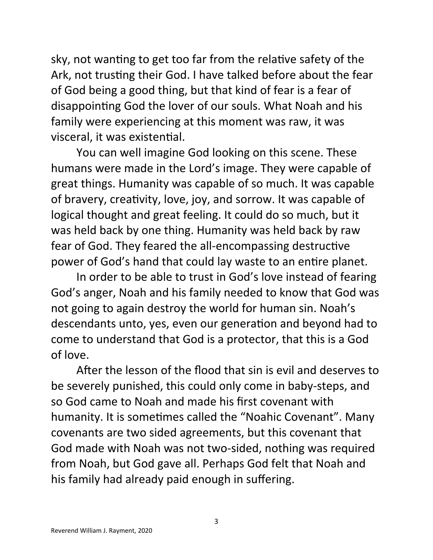sky, not wanting to get too far from the relative safety of the Ark, not trusting their God. I have talked before about the fear of God being a good thing, but that kind of fear is a fear of disappointing God the lover of our souls. What Noah and his family were experiencing at this moment was raw, it was visceral, it was existential.

You can well imagine God looking on this scene. These humans were made in the Lord's image. They were capable of great things. Humanity was capable of so much. It was capable of bravery, creativity, love, joy, and sorrow. It was capable of logical thought and great feeling. It could do so much, but it was held back by one thing. Humanity was held back by raw fear of God. They feared the all-encompassing destructive power of God's hand that could lay waste to an entire planet.

In order to be able to trust in God's love instead of fearing God's anger, Noah and his family needed to know that God was not going to again destroy the world for human sin. Noah's descendants unto, yes, even our generation and beyond had to come to understand that God is a protector, that this is a God of love.

After the lesson of the flood that sin is evil and deserves to be severely punished, this could only come in baby-steps, and so God came to Noah and made his first covenant with humanity. It is sometimes called the "Noahic Covenant". Many covenants are two sided agreements, but this covenant that God made with Noah was not two-sided, nothing was required from Noah, but God gave all. Perhaps God felt that Noah and his family had already paid enough in suffering.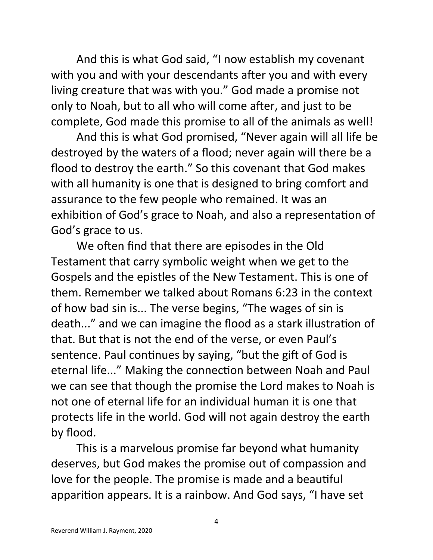And this is what God said, "I now establish my covenant with you and with your descendants after you and with every living creature that was with you." God made a promise not only to Noah, but to all who will come after, and just to be complete, God made this promise to all of the animals as well!

And this is what God promised, "Never again will all life be destroyed by the waters of a flood; never again will there be a flood to destroy the earth." So this covenant that God makes with all humanity is one that is designed to bring comfort and assurance to the few people who remained. It was an exhibition of God's grace to Noah, and also a representation of God's grace to us.

We often find that there are episodes in the Old Testament that carry symbolic weight when we get to the Gospels and the epistles of the New Testament. This is one of them. Remember we talked about Romans 6:23 in the context of how bad sin is... The verse begins, "The wages of sin is death..." and we can imagine the flood as a stark illustration of that. But that is not the end of the verse, or even Paul's sentence. Paul continues by saying, "but the gift of God is eternal life..." Making the connection between Noah and Paul we can see that though the promise the Lord makes to Noah is not one of eternal life for an individual human it is one that protects life in the world. God will not again destroy the earth by flood.

This is a marvelous promise far beyond what humanity deserves, but God makes the promise out of compassion and love for the people. The promise is made and a beautiful apparition appears. It is a rainbow. And God says, "I have set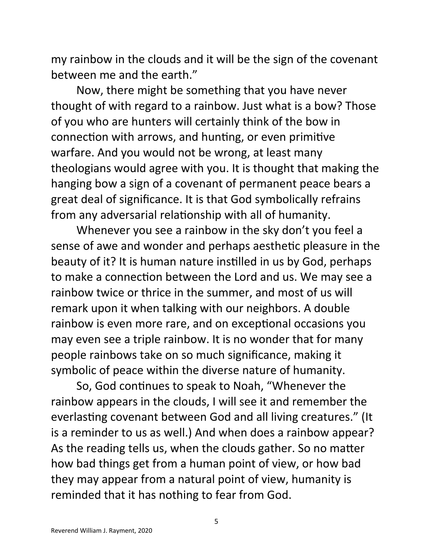my rainbow in the clouds and it will be the sign of the covenant between me and the earth."

Now, there might be something that you have never thought of with regard to a rainbow. Just what is a bow? Those of you who are hunters will certainly think of the bow in connection with arrows, and hunting, or even primitive warfare. And you would not be wrong, at least many theologians would agree with you. It is thought that making the hanging bow a sign of a covenant of permanent peace bears a great deal of significance. It is that God symbolically refrains from any adversarial relationship with all of humanity.

Whenever you see a rainbow in the sky don't you feel a sense of awe and wonder and perhaps aesthetic pleasure in the beauty of it? It is human nature instilled in us by God, perhaps to make a connection between the Lord and us. We may see a rainbow twice or thrice in the summer, and most of us will remark upon it when talking with our neighbors. A double rainbow is even more rare, and on exceptional occasions you may even see a triple rainbow. It is no wonder that for many people rainbows take on so much significance, making it symbolic of peace within the diverse nature of humanity.

So, God continues to speak to Noah, "Whenever the rainbow appears in the clouds, I will see it and remember the everlasting covenant between God and all living creatures." (It is a reminder to us as well.) And when does a rainbow appear? As the reading tells us, when the clouds gather. So no matter how bad things get from a human point of view, or how bad they may appear from a natural point of view, humanity is reminded that it has nothing to fear from God.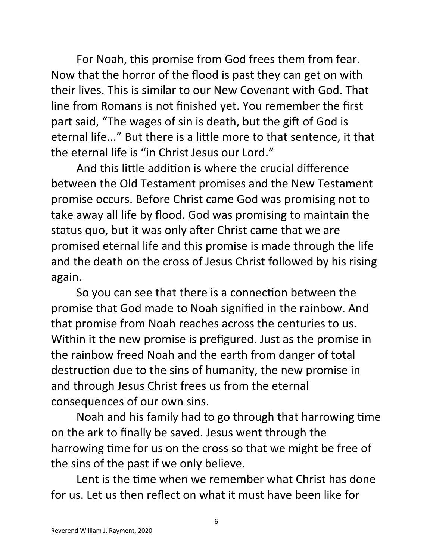For Noah, this promise from God frees them from fear. Now that the horror of the flood is past they can get on with their lives. This is similar to our New Covenant with God. That line from Romans is not finished yet. You remember the first part said, "The wages of sin is death, but the gift of God is eternal life..." But there is a little more to that sentence, it that the eternal life is "in Christ Jesus our Lord."

And this little addition is where the crucial difference between the Old Testament promises and the New Testament promise occurs. Before Christ came God was promising not to take away all life by flood. God was promising to maintain the status quo, but it was only after Christ came that we are promised eternal life and this promise is made through the life and the death on the cross of Jesus Christ followed by his rising again.

So you can see that there is a connection between the promise that God made to Noah signified in the rainbow. And that promise from Noah reaches across the centuries to us. Within it the new promise is prefigured. Just as the promise in the rainbow freed Noah and the earth from danger of total destruction due to the sins of humanity, the new promise in and through Jesus Christ frees us from the eternal consequences of our own sins.

Noah and his family had to go through that harrowing time on the ark to finally be saved. Jesus went through the harrowing time for us on the cross so that we might be free of the sins of the past if we only believe.

Lent is the time when we remember what Christ has done for us. Let us then reflect on what it must have been like for